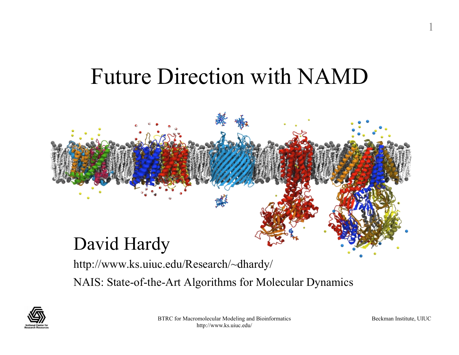#### Future Direction with NAMD



http://www.ks.uiuc.edu/Research/~dhardy/

NAIS: State-of-the-Art Algorithms for Molecular Dynamics



BTRC for Macromolecular Modeling and Bioinformatics http://www.ks.uiuc.edu/

Beckman Institute, UIUC

1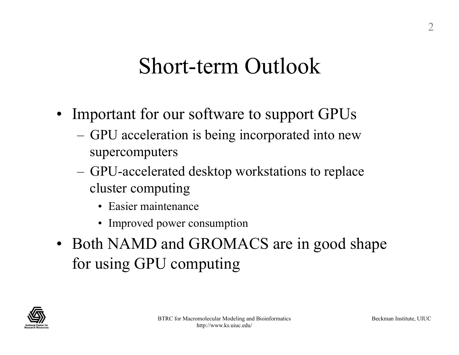#### Short-term Outlook

- Important for our software to support GPUs
	- GPU acceleration is being incorporated into new supercomputers
	- GPU-accelerated desktop workstations to replace cluster computing
		- Easier maintenance
		- Improved power consumption
- Both NAMD and GROMACS are in good shape for using GPU computing

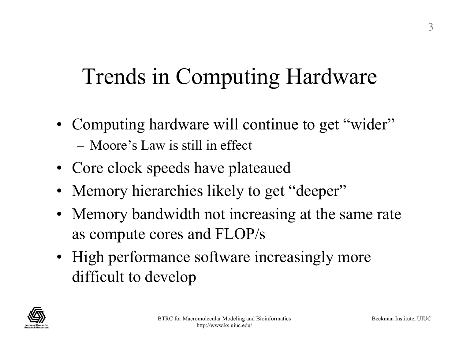## Trends in Computing Hardware

- Computing hardware will continue to get "wider" – Moore's Law is still in effect
- Core clock speeds have plateaued
- Memory hierarchies likely to get "deeper"
- Memory bandwidth not increasing at the same rate as compute cores and FLOP/s
- High performance software increasingly more difficult to develop

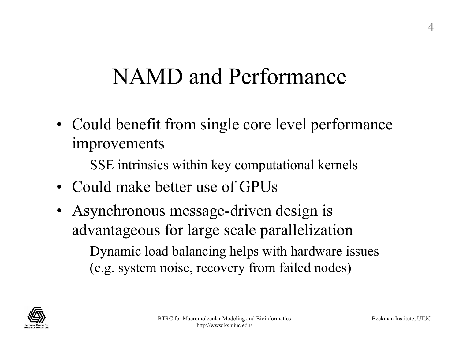## NAMD and Performance

- Could benefit from single core level performance improvements
	- SSE intrinsics within key computational kernels
- Could make better use of GPUs
- Asynchronous message-driven design is advantageous for large scale parallelization
	- Dynamic load balancing helps with hardware issues (e.g. system noise, recovery from failed nodes)